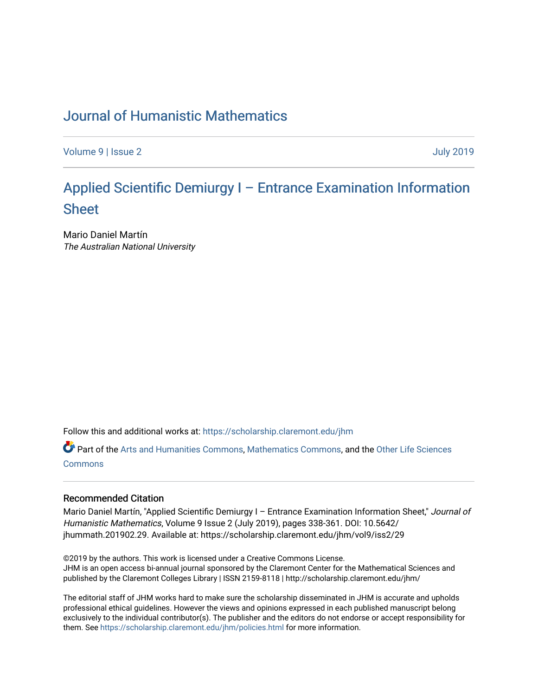# [Journal of Humanistic Mathematics](https://scholarship.claremont.edu/jhm)

[Volume 9](https://scholarship.claremont.edu/jhm/vol9) | [Issue 2](https://scholarship.claremont.edu/jhm/vol9/iss2) [July 2019](https://scholarship.claremont.edu/jhm/vol9/iss2) 

# [Applied Scientific Demiurgy I – Entrance Examination Information](https://scholarship.claremont.edu/jhm/vol9/iss2/29)  [Sheet](https://scholarship.claremont.edu/jhm/vol9/iss2/29)

Mario Daniel Martín The Australian National University

Follow this and additional works at: [https://scholarship.claremont.edu/jhm](https://scholarship.claremont.edu/jhm?utm_source=scholarship.claremont.edu%2Fjhm%2Fvol9%2Fiss2%2F29&utm_medium=PDF&utm_campaign=PDFCoverPages)

Part of the [Arts and Humanities Commons,](http://network.bepress.com/hgg/discipline/438?utm_source=scholarship.claremont.edu%2Fjhm%2Fvol9%2Fiss2%2F29&utm_medium=PDF&utm_campaign=PDFCoverPages) [Mathematics Commons](http://network.bepress.com/hgg/discipline/174?utm_source=scholarship.claremont.edu%2Fjhm%2Fvol9%2Fiss2%2F29&utm_medium=PDF&utm_campaign=PDFCoverPages), and the [Other Life Sciences](http://network.bepress.com/hgg/discipline/113?utm_source=scholarship.claremont.edu%2Fjhm%2Fvol9%2Fiss2%2F29&utm_medium=PDF&utm_campaign=PDFCoverPages) [Commons](http://network.bepress.com/hgg/discipline/113?utm_source=scholarship.claremont.edu%2Fjhm%2Fvol9%2Fiss2%2F29&utm_medium=PDF&utm_campaign=PDFCoverPages)

#### Recommended Citation

Mario Daniel Martín, "Applied Scientific Demiurgy I - Entrance Examination Information Sheet," Journal of Humanistic Mathematics, Volume 9 Issue 2 (July 2019), pages 338-361. DOI: 10.5642/ jhummath.201902.29. Available at: https://scholarship.claremont.edu/jhm/vol9/iss2/29

©2019 by the authors. This work is licensed under a Creative Commons License. JHM is an open access bi-annual journal sponsored by the Claremont Center for the Mathematical Sciences and published by the Claremont Colleges Library | ISSN 2159-8118 | http://scholarship.claremont.edu/jhm/

The editorial staff of JHM works hard to make sure the scholarship disseminated in JHM is accurate and upholds professional ethical guidelines. However the views and opinions expressed in each published manuscript belong exclusively to the individual contributor(s). The publisher and the editors do not endorse or accept responsibility for them. See<https://scholarship.claremont.edu/jhm/policies.html> for more information.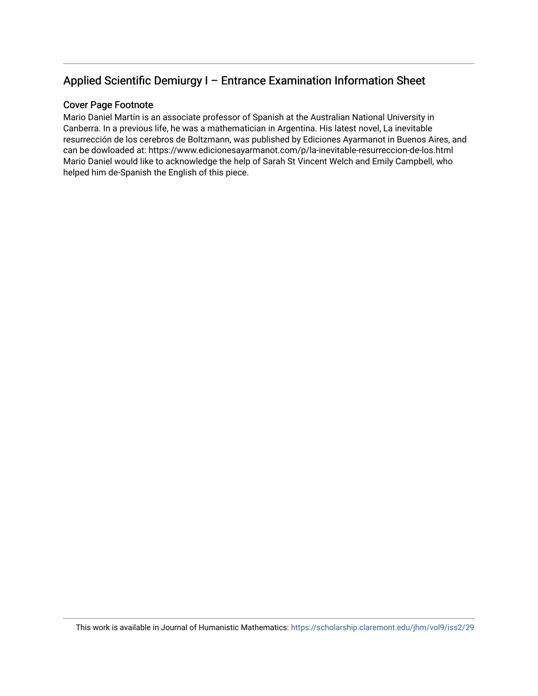## Applied Scientific Demiurgy I – Entrance Examination Information Sheet

#### Cover Page Footnote

Mario Daniel Martín is an associate professor of Spanish at the Australian National University in Canberra. In a previous life, he was a mathematician in Argentina. His latest novel, La inevitable resurrección de los cerebros de Boltzmann, was published by Ediciones Ayarmanot in Buenos Aires, and can be dowloaded at: https://www.edicionesayarmanot.com/p/la-inevitable-resurreccion-de-los.html Mario Daniel would like to acknowledge the help of Sarah St Vincent Welch and Emily Campbell, who helped him de-Spanish the English of this piece.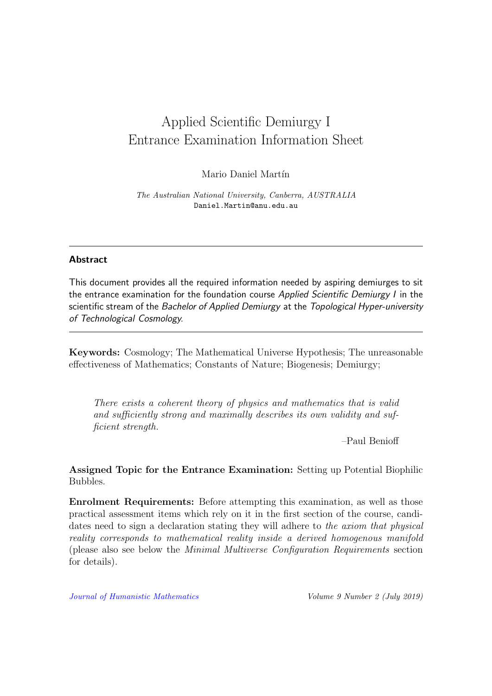# <span id="page-2-0"></span>Applied Scientific Demiurgy I Entrance Examination Information Sheet

Mario Daniel Martín

The Australian National University, Canberra, AUSTRALIA Daniel.Martin@anu.edu.au

#### Abstract

This document provides all the required information needed by aspiring demiurges to sit the entrance examination for the foundation course Applied Scientific Demiurgy I in the scientific stream of the Bachelor of Applied Demiurgy at the Topological Hyper-university of Technological Cosmology.

Keywords: Cosmology; The Mathematical Universe Hypothesis; The unreasonable effectiveness of Mathematics; Constants of Nature; Biogenesis; Demiurgy;

There exists a coherent theory of physics and mathematics that is valid and sufficiently strong and maximally describes its own validity and sufficient strength.

–Paul Benioff

Assigned Topic for the Entrance Examination: Setting up Potential Biophilic Bubbles.

Enrolment Requirements: Before attempting this examination, as well as those practical assessment items which rely on it in the first section of the course, candidates need to sign a declaration stating they will adhere to the axiom that physical reality corresponds to mathematical reality inside a derived homogenous manifold (please also see below the Minimal Multiverse Configuration Requirements section for details).

[Journal of Humanistic Mathematics](http://scholarship.claremont.edu/jhm/) Volume 9 Number 2 (July 2019)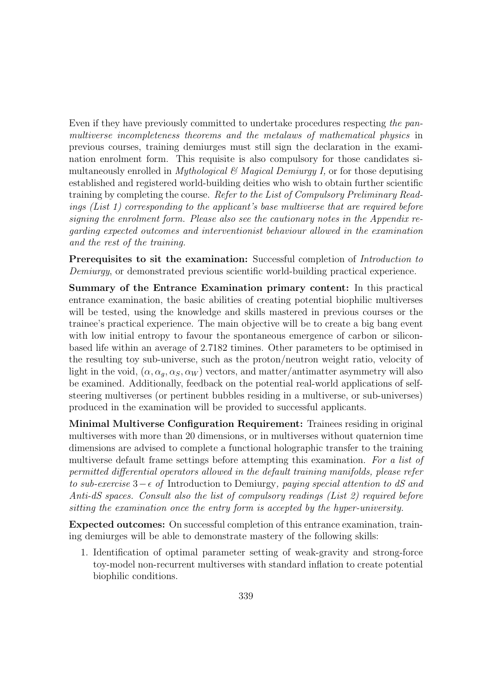Even if they have previously committed to undertake procedures respecting the panmultiverse incompleteness theorems and the metalaws of mathematical physics in previous courses, training demiurges must still sign the declaration in the examination enrolment form. This requisite is also compulsory for those candidates simultaneously enrolled in *Mythological*  $\mathcal{C}$  *Magical Demiurgy I*, or for those deputising established and registered world-building deities who wish to obtain further scientific training by completing the course. Refer to the List of Compulsory Preliminary Readings (List 1) corresponding to the applicant's base multiverse that are required before signing the enrolment form. Please also see the cautionary notes in the Appendix regarding expected outcomes and interventionist behaviour allowed in the examination and the rest of the training.

Prerequisites to sit the examination: Successful completion of *Introduction to* Demiurgy, or demonstrated previous scientific world-building practical experience.

Summary of the Entrance Examination primary content: In this practical entrance examination, the basic abilities of creating potential biophilic multiverses will be tested, using the knowledge and skills mastered in previous courses or the trainee's practical experience. The main objective will be to create a big bang event with low initial entropy to favour the spontaneous emergence of carbon or siliconbased life within an average of 2.7182 timines. Other parameters to be optimised in the resulting toy sub-universe, such as the proton/neutron weight ratio, velocity of light in the void,  $(\alpha, \alpha_q, \alpha_S, \alpha_W)$  vectors, and matter/antimatter asymmetry will also be examined. Additionally, feedback on the potential real-world applications of selfsteering multiverses (or pertinent bubbles residing in a multiverse, or sub-universes) produced in the examination will be provided to successful applicants.

Minimal Multiverse Configuration Requirement: Trainees residing in original multiverses with more than 20 dimensions, or in multiverses without quaternion time dimensions are advised to complete a functional holographic transfer to the training multiverse default frame settings before attempting this examination. For a list of permitted differential operators allowed in the default training manifolds, please refer to sub-exercise  $3-\epsilon$  of Introduction to Demiurgy, paying special attention to dS and Anti-dS spaces. Consult also the list of compulsory readings (List 2) required before sitting the examination once the entry form is accepted by the hyper-university.

Expected outcomes: On successful completion of this entrance examination, training demiurges will be able to demonstrate mastery of the following skills:

1. Identification of optimal parameter setting of weak-gravity and strong-force toy-model non-recurrent multiverses with standard inflation to create potential biophilic conditions.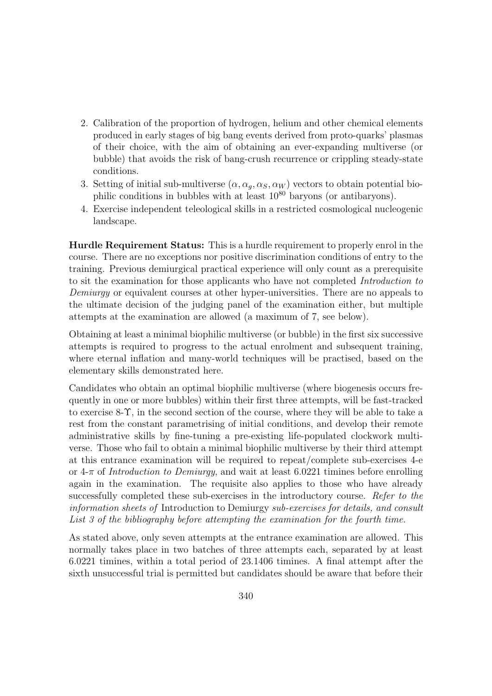- 2. Calibration of the proportion of hydrogen, helium and other chemical elements produced in early stages of big bang events derived from proto-quarks' plasmas of their choice, with the aim of obtaining an ever-expanding multiverse (or bubble) that avoids the risk of bang-crush recurrence or crippling steady-state conditions.
- 3. Setting of initial sub-multiverse  $(\alpha, \alpha_q, \alpha_S, \alpha_W)$  vectors to obtain potential biophilic conditions in bubbles with at least  $10^{80}$  baryons (or antibaryons).
- 4. Exercise independent teleological skills in a restricted cosmological nucleogenic landscape.

Hurdle Requirement Status: This is a hurdle requirement to properly enrol in the course. There are no exceptions nor positive discrimination conditions of entry to the training. Previous demiurgical practical experience will only count as a prerequisite to sit the examination for those applicants who have not completed Introduction to Demiurgy or equivalent courses at other hyper-universities. There are no appeals to the ultimate decision of the judging panel of the examination either, but multiple attempts at the examination are allowed (a maximum of 7, see below).

Obtaining at least a minimal biophilic multiverse (or bubble) in the first six successive attempts is required to progress to the actual enrolment and subsequent training, where eternal inflation and many-world techniques will be practised, based on the elementary skills demonstrated here.

Candidates who obtain an optimal biophilic multiverse (where biogenesis occurs frequently in one or more bubbles) within their first three attempts, will be fast-tracked to exercise 8-Υ, in the second section of the course, where they will be able to take a rest from the constant parametrising of initial conditions, and develop their remote administrative skills by fine-tuning a pre-existing life-populated clockwork multiverse. Those who fail to obtain a minimal biophilic multiverse by their third attempt at this entrance examination will be required to repeat/complete sub-exercises 4-e or 4-π of Introduction to Demiurgy, and wait at least 6.0221 timines before enrolling again in the examination. The requisite also applies to those who have already successfully completed these sub-exercises in the introductory course. Refer to the information sheets of Introduction to Demiurgy sub-exercises for details, and consult List 3 of the bibliography before attempting the examination for the fourth time.

As stated above, only seven attempts at the entrance examination are allowed. This normally takes place in two batches of three attempts each, separated by at least 6.0221 timines, within a total period of 23.1406 timines. A final attempt after the sixth unsuccessful trial is permitted but candidates should be aware that before their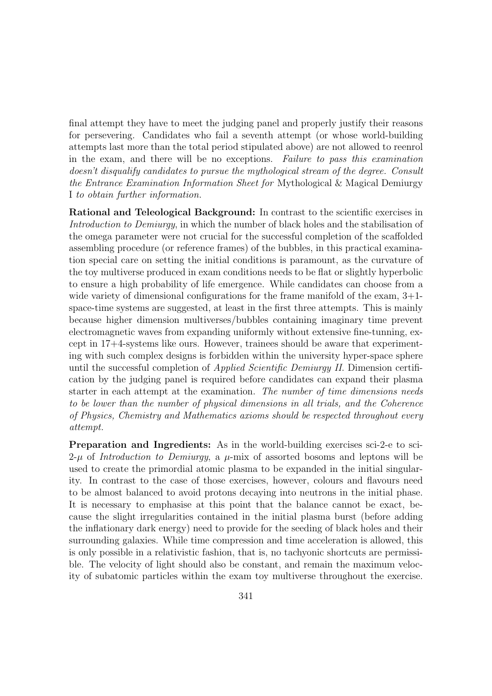final attempt they have to meet the judging panel and properly justify their reasons for persevering. Candidates who fail a seventh attempt (or whose world-building attempts last more than the total period stipulated above) are not allowed to reenrol in the exam, and there will be no exceptions. Failure to pass this examination doesn't disqualify candidates to pursue the mythological stream of the degree. Consult the Entrance Examination Information Sheet for Mythological & Magical Demiurgy I to obtain further information.

Rational and Teleological Background: In contrast to the scientific exercises in Introduction to Demiurgy, in which the number of black holes and the stabilisation of the omega parameter were not crucial for the successful completion of the scaffolded assembling procedure (or reference frames) of the bubbles, in this practical examination special care on setting the initial conditions is paramount, as the curvature of the toy multiverse produced in exam conditions needs to be flat or slightly hyperbolic to ensure a high probability of life emergence. While candidates can choose from a wide variety of dimensional configurations for the frame manifold of the exam, 3+1 space-time systems are suggested, at least in the first three attempts. This is mainly because higher dimension multiverses/bubbles containing imaginary time prevent electromagnetic waves from expanding uniformly without extensive fine-tunning, except in 17+4-systems like ours. However, trainees should be aware that experimenting with such complex designs is forbidden within the university hyper-space sphere until the successful completion of Applied Scientific Demiurgy II. Dimension certification by the judging panel is required before candidates can expand their plasma starter in each attempt at the examination. The number of time dimensions needs to be lower than the number of physical dimensions in all trials, and the Coherence of Physics, Chemistry and Mathematics axioms should be respected throughout every attempt.

Preparation and Ingredients: As in the world-building exercises sci-2-e to sci- $2-\mu$  of Introduction to Demiurgy, a  $\mu$ -mix of assorted bosoms and leptons will be used to create the primordial atomic plasma to be expanded in the initial singularity. In contrast to the case of those exercises, however, colours and flavours need to be almost balanced to avoid protons decaying into neutrons in the initial phase. It is necessary to emphasise at this point that the balance cannot be exact, because the slight irregularities contained in the initial plasma burst (before adding the inflationary dark energy) need to provide for the seeding of black holes and their surrounding galaxies. While time compression and time acceleration is allowed, this is only possible in a relativistic fashion, that is, no tachyonic shortcuts are permissible. The velocity of light should also be constant, and remain the maximum velocity of subatomic particles within the exam toy multiverse throughout the exercise.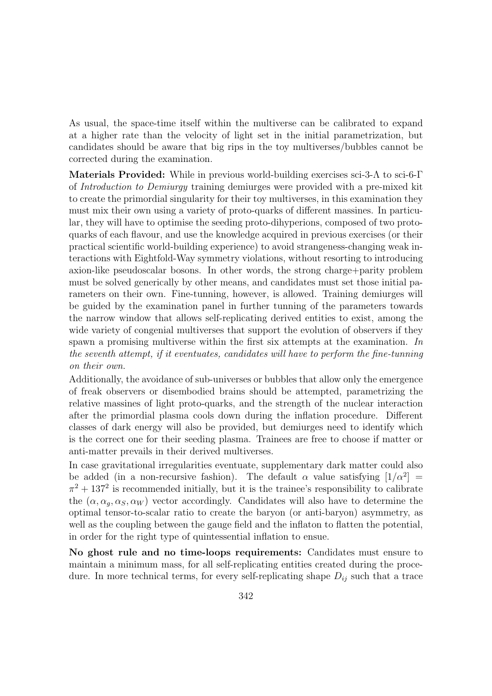As usual, the space-time itself within the multiverse can be calibrated to expand at a higher rate than the velocity of light set in the initial parametrization, but candidates should be aware that big rips in the toy multiverses/bubbles cannot be corrected during the examination.

Materials Provided: While in previous world-building exercises sci-3-Λ to sci-6-Γ of Introduction to Demiurgy training demiurges were provided with a pre-mixed kit to create the primordial singularity for their toy multiverses, in this examination they must mix their own using a variety of proto-quarks of different massines. In particular, they will have to optimise the seeding proto-dihyperions, composed of two protoquarks of each flavour, and use the knowledge acquired in previous exercises (or their practical scientific world-building experience) to avoid strangeness-changing weak interactions with Eightfold-Way symmetry violations, without resorting to introducing axion-like pseudoscalar bosons. In other words, the strong charge+parity problem must be solved generically by other means, and candidates must set those initial parameters on their own. Fine-tunning, however, is allowed. Training demiurges will be guided by the examination panel in further tunning of the parameters towards the narrow window that allows self-replicating derived entities to exist, among the wide variety of congenial multiverses that support the evolution of observers if they spawn a promising multiverse within the first six attempts at the examination. In the seventh attempt, if it eventuates, candidates will have to perform the fine-tunning on their own.

Additionally, the avoidance of sub-universes or bubbles that allow only the emergence of freak observers or disembodied brains should be attempted, parametrizing the relative massines of light proto-quarks, and the strength of the nuclear interaction after the primordial plasma cools down during the inflation procedure. Different classes of dark energy will also be provided, but demiurges need to identify which is the correct one for their seeding plasma. Trainees are free to choose if matter or anti-matter prevails in their derived multiverses.

In case gravitational irregularities eventuate, supplementary dark matter could also be added (in a non-recursive fashion). The default  $\alpha$  value satisfying  $[1/\alpha^2]$  =  $\pi^2 + 137^2$  is recommended initially, but it is the trainee's responsibility to calibrate the  $(\alpha, \alpha_{\sigma}, \alpha_{S}, \alpha_{W})$  vector accordingly. Candidates will also have to determine the optimal tensor-to-scalar ratio to create the baryon (or anti-baryon) asymmetry, as well as the coupling between the gauge field and the inflaton to flatten the potential, in order for the right type of quintessential inflation to ensue.

No ghost rule and no time-loops requirements: Candidates must ensure to maintain a minimum mass, for all self-replicating entities created during the procedure. In more technical terms, for every self-replicating shape  $D_{ij}$  such that a trace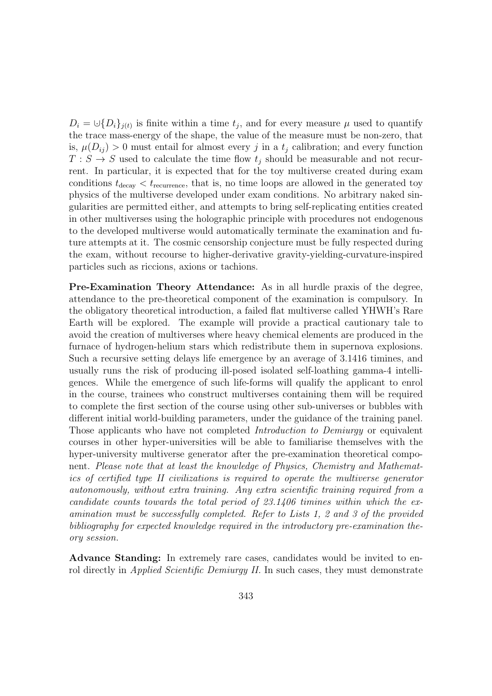$D_i = \bigcup \{D_i\}_{j(i)}$  is finite within a time  $t_j$ , and for every measure  $\mu$  used to quantify the trace mass-energy of the shape, the value of the measure must be non-zero, that is,  $\mu(D_{ij}) > 0$  must entail for almost every j in a  $t_j$  calibration; and every function  $T : S \to S$  used to calculate the time flow  $t_j$  should be measurable and not recurrent. In particular, it is expected that for the toy multiverse created during exam conditions  $t_{\text{decay}} < t_{\text{recurrence}}$ , that is, no time loops are allowed in the generated toy physics of the multiverse developed under exam conditions. No arbitrary naked singularities are permitted either, and attempts to bring self-replicating entities created in other multiverses using the holographic principle with procedures not endogenous to the developed multiverse would automatically terminate the examination and future attempts at it. The cosmic censorship conjecture must be fully respected during the exam, without recourse to higher-derivative gravity-yielding-curvature-inspired particles such as riccions, axions or tachions.

Pre-Examination Theory Attendance: As in all hurdle praxis of the degree, attendance to the pre-theoretical component of the examination is compulsory. In the obligatory theoretical introduction, a failed flat multiverse called YHWH's Rare Earth will be explored. The example will provide a practical cautionary tale to avoid the creation of multiverses where heavy chemical elements are produced in the furnace of hydrogen-helium stars which redistribute them in supernova explosions. Such a recursive setting delays life emergence by an average of 3.1416 timines, and usually runs the risk of producing ill-posed isolated self-loathing gamma-4 intelligences. While the emergence of such life-forms will qualify the applicant to enrol in the course, trainees who construct multiverses containing them will be required to complete the first section of the course using other sub-universes or bubbles with different initial world-building parameters, under the guidance of the training panel. Those applicants who have not completed *Introduction to Demiurgy* or equivalent courses in other hyper-universities will be able to familiarise themselves with the hyper-university multiverse generator after the pre-examination theoretical component. Please note that at least the knowledge of Physics, Chemistry and Mathematics of certified type II civilizations is required to operate the multiverse generator autonomously, without extra training. Any extra scientific training required from a candidate counts towards the total period of 23.1406 timines within which the examination must be successfully completed. Refer to Lists 1, 2 and 3 of the provided bibliography for expected knowledge required in the introductory pre-examination theory session.

Advance Standing: In extremely rare cases, candidates would be invited to enrol directly in *Applied Scientific Demiurgy II.* In such cases, they must demonstrate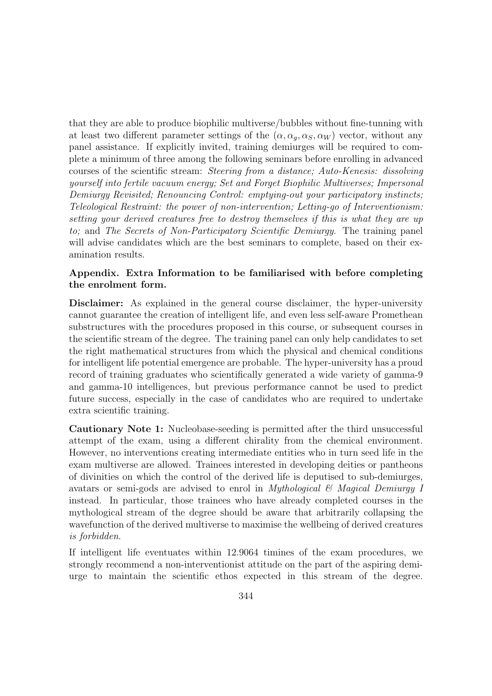that they are able to produce biophilic multiverse/bubbles without fine-tunning with at least two different parameter settings of the  $(\alpha, \alpha_q, \alpha_S, \alpha_W)$  vector, without any panel assistance. If explicitly invited, training demiurges will be required to complete a minimum of three among the following seminars before enrolling in advanced courses of the scientific stream: Steering from a distance; Auto-Kenesis: dissolving yourself into fertile vacuum energy; Set and Forget Biophilic Multiverses; Impersonal Demiurgy Revisited; Renouncing Control: emptying-out your participatory instincts; Teleological Restraint: the power of non-intervention; Letting-go of Interventionism: setting your derived creatures free to destroy themselves if this is what they are up to; and The Secrets of Non-Participatory Scientific Demiurgy. The training panel will advise candidates which are the best seminars to complete, based on their examination results.

#### Appendix. Extra Information to be familiarised with before completing the enrolment form.

Disclaimer: As explained in the general course disclaimer, the hyper-university cannot guarantee the creation of intelligent life, and even less self-aware Promethean substructures with the procedures proposed in this course, or subsequent courses in the scientific stream of the degree. The training panel can only help candidates to set the right mathematical structures from which the physical and chemical conditions for intelligent life potential emergence are probable. The hyper-university has a proud record of training graduates who scientifically generated a wide variety of gamma-9 and gamma-10 intelligences, but previous performance cannot be used to predict future success, especially in the case of candidates who are required to undertake extra scientific training.

Cautionary Note 1: Nucleobase-seeding is permitted after the third unsuccessful attempt of the exam, using a different chirality from the chemical environment. However, no interventions creating intermediate entities who in turn seed life in the exam multiverse are allowed. Trainees interested in developing deities or pantheons of divinities on which the control of the derived life is deputised to sub-demiurges, avatars or semi-gods are advised to enrol in *Mythological*  $\mathcal{B}$  *Magical Demiurgy I* instead. In particular, those trainees who have already completed courses in the mythological stream of the degree should be aware that arbitrarily collapsing the wavefunction of the derived multiverse to maximise the wellbeing of derived creatures is forbidden.

If intelligent life eventuates within 12.9064 timines of the exam procedures, we strongly recommend a non-interventionist attitude on the part of the aspiring demiurge to maintain the scientific ethos expected in this stream of the degree.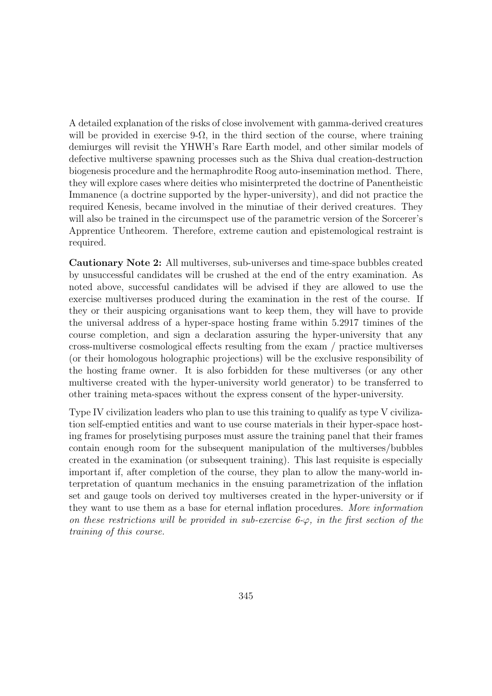A detailed explanation of the risks of close involvement with gamma-derived creatures will be provided in exercise 9- $\Omega$ , in the third section of the course, where training demiurges will revisit the YHWH's Rare Earth model, and other similar models of defective multiverse spawning processes such as the Shiva dual creation-destruction biogenesis procedure and the hermaphrodite Roog auto-insemination method. There, they will explore cases where deities who misinterpreted the doctrine of Panentheistic Immanence (a doctrine supported by the hyper-university), and did not practice the required Kenesis, became involved in the minutiae of their derived creatures. They will also be trained in the circumspect use of the parametric version of the Sorcerer's Apprentice Untheorem. Therefore, extreme caution and epistemological restraint is required.

Cautionary Note 2: All multiverses, sub-universes and time-space bubbles created by unsuccessful candidates will be crushed at the end of the entry examination. As noted above, successful candidates will be advised if they are allowed to use the exercise multiverses produced during the examination in the rest of the course. If they or their auspicing organisations want to keep them, they will have to provide the universal address of a hyper-space hosting frame within 5.2917 timines of the course completion, and sign a declaration assuring the hyper-university that any cross-multiverse cosmological effects resulting from the exam / practice multiverses (or their homologous holographic projections) will be the exclusive responsibility of the hosting frame owner. It is also forbidden for these multiverses (or any other multiverse created with the hyper-university world generator) to be transferred to other training meta-spaces without the express consent of the hyper-university.

Type IV civilization leaders who plan to use this training to qualify as type V civilization self-emptied entities and want to use course materials in their hyper-space hosting frames for proselytising purposes must assure the training panel that their frames contain enough room for the subsequent manipulation of the multiverses/bubbles created in the examination (or subsequent training). This last requisite is especially important if, after completion of the course, they plan to allow the many-world interpretation of quantum mechanics in the ensuing parametrization of the inflation set and gauge tools on derived toy multiverses created in the hyper-university or if they want to use them as a base for eternal inflation procedures. More information on these restrictions will be provided in sub-exercise  $6-\infty$ , in the first section of the training of this course.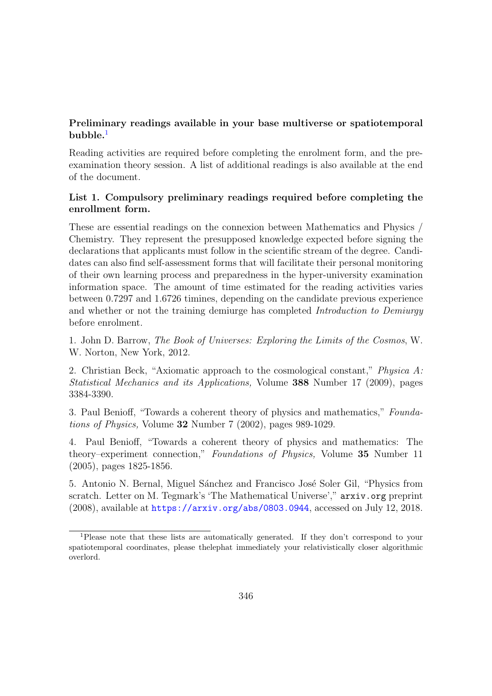## Preliminary readings available in your base multiverse or spatiotemporal  $b$ ubble.<sup>[1](#page-2-0)</sup>

Reading activities are required before completing the enrolment form, and the preexamination theory session. A list of additional readings is also available at the end of the document.

### List 1. Compulsory preliminary readings required before completing the enrollment form.

These are essential readings on the connexion between Mathematics and Physics / Chemistry. They represent the presupposed knowledge expected before signing the declarations that applicants must follow in the scientific stream of the degree. Candidates can also find self-assessment forms that will facilitate their personal monitoring of their own learning process and preparedness in the hyper-university examination information space. The amount of time estimated for the reading activities varies between 0.7297 and 1.6726 timines, depending on the candidate previous experience and whether or not the training demiurge has completed Introduction to Demiurgy before enrolment.

1. John D. Barrow, The Book of Universes: Exploring the Limits of the Cosmos, W. W. Norton, New York, 2012.

2. Christian Beck, "Axiomatic approach to the cosmological constant," Physica A: Statistical Mechanics and its Applications, Volume 388 Number 17 (2009), pages 3384-3390.

3. Paul Benioff, "Towards a coherent theory of physics and mathematics," Foundations of Physics, Volume 32 Number 7 (2002), pages 989-1029.

4. Paul Benioff, "Towards a coherent theory of physics and mathematics: The theory–experiment connection," Foundations of Physics, Volume 35 Number 11 (2005), pages 1825-1856.

5. Antonio N. Bernal, Miguel Sánchez and Francisco José Soler Gil, "Physics from scratch. Letter on M. Tegmark's 'The Mathematical Universe'," arxiv.org preprint (2008), available at <https://arxiv.org/abs/0803.0944>, accessed on July 12, 2018.

<sup>1</sup>Please note that these lists are automatically generated. If they don't correspond to your spatiotemporal coordinates, please thelephat immediately your relativistically closer algorithmic overlord.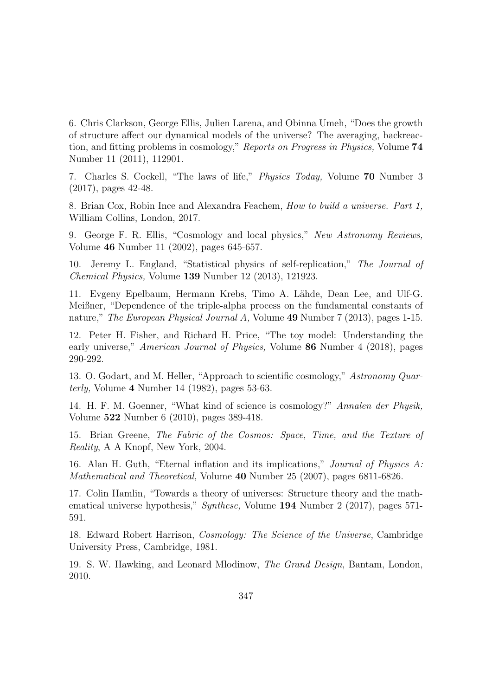6. Chris Clarkson, George Ellis, Julien Larena, and Obinna Umeh, "Does the growth of structure affect our dynamical models of the universe? The averaging, backreaction, and fitting problems in cosmology," Reports on Progress in Physics, Volume 74 Number 11 (2011), 112901.

7. Charles S. Cockell, "The laws of life," Physics Today, Volume 70 Number 3 (2017), pages 42-48.

8. Brian Cox, Robin Ince and Alexandra Feachem, How to build a universe. Part 1, William Collins, London, 2017.

9. George F. R. Ellis, "Cosmology and local physics," New Astronomy Reviews, Volume 46 Number 11 (2002), pages 645-657.

10. Jeremy L. England, "Statistical physics of self-replication," The Journal of Chemical Physics, Volume 139 Number 12 (2013), 121923.

11. Evgeny Epelbaum, Hermann Krebs, Timo A. Lähde, Dean Lee, and Ulf-G. Meißner, "Dependence of the triple-alpha process on the fundamental constants of nature," *The European Physical Journal A*, Volume 49 Number 7 (2013), pages 1-15.

12. Peter H. Fisher, and Richard H. Price, "The toy model: Understanding the early universe," *American Journal of Physics*, Volume 86 Number 4 (2018), pages 290-292.

13. O. Godart, and M. Heller, "Approach to scientific cosmology," Astronomy Quarterly, Volume 4 Number 14 (1982), pages 53-63.

14. H. F. M. Goenner, "What kind of science is cosmology?" Annalen der Physik, Volume 522 Number 6 (2010), pages 389-418.

15. Brian Greene, The Fabric of the Cosmos: Space, Time, and the Texture of Reality, A A Knopf, New York, 2004.

16. Alan H. Guth, "Eternal inflation and its implications," Journal of Physics A: Mathematical and Theoretical, Volume 40 Number 25 (2007), pages 6811-6826.

17. Colin Hamlin, "Towards a theory of universes: Structure theory and the mathematical universe hypothesis," Synthese, Volume 194 Number 2 (2017), pages 571- 591.

18. Edward Robert Harrison, Cosmology: The Science of the Universe, Cambridge University Press, Cambridge, 1981.

19. S. W. Hawking, and Leonard Mlodinow, The Grand Design, Bantam, London, 2010.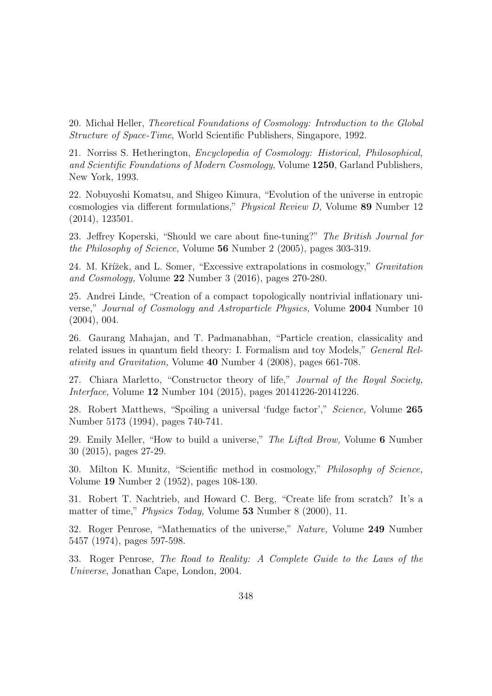20. Michał Heller, Theoretical Foundations of Cosmology: Introduction to the Global Structure of Space-Time, World Scientific Publishers, Singapore, 1992.

21. Norriss S. Hetherington, Encyclopedia of Cosmology: Historical, Philosophical, and Scientific Foundations of Modern Cosmology, Volume 1250, Garland Publishers, New York, 1993.

22. Nobuyoshi Komatsu, and Shigeo Kimura, "Evolution of the universe in entropic cosmologies via different formulations," Physical Review D, Volume 89 Number 12 (2014), 123501.

23. Jeffrey Koperski, "Should we care about fine-tuning?" The British Journal for the Philosophy of Science, Volume 56 Number 2 (2005), pages 303-319.

24. M. Křížek, and L. Somer, "Excessive extrapolations in cosmology," *Gravitation* and Cosmology, Volume 22 Number 3 (2016), pages 270-280.

25. Andrei Linde, "Creation of a compact topologically nontrivial inflationary universe," Journal of Cosmology and Astroparticle Physics, Volume 2004 Number 10 (2004), 004.

26. Gaurang Mahajan, and T. Padmanabhan, "Particle creation, classicality and related issues in quantum field theory: I. Formalism and toy Models," General Relativity and Gravitation, Volume 40 Number 4 (2008), pages 661-708.

27. Chiara Marletto, "Constructor theory of life," Journal of the Royal Society, Interface, Volume 12 Number 104 (2015), pages 20141226-20141226.

28. Robert Matthews, "Spoiling a universal 'fudge factor'," Science, Volume 265 Number 5173 (1994), pages 740-741.

29. Emily Meller, "How to build a universe," The Lifted Brow, Volume 6 Number 30 (2015), pages 27-29.

30. Milton K. Munitz, "Scientific method in cosmology," Philosophy of Science, Volume 19 Number 2 (1952), pages 108-130.

31. Robert T. Nachtrieb, and Howard C. Berg, "Create life from scratch? It's a matter of time," *Physics Today*, Volume 53 Number 8 (2000), 11.

32. Roger Penrose, "Mathematics of the universe," Nature, Volume 249 Number 5457 (1974), pages 597-598.

33. Roger Penrose, The Road to Reality: A Complete Guide to the Laws of the Universe, Jonathan Cape, London, 2004.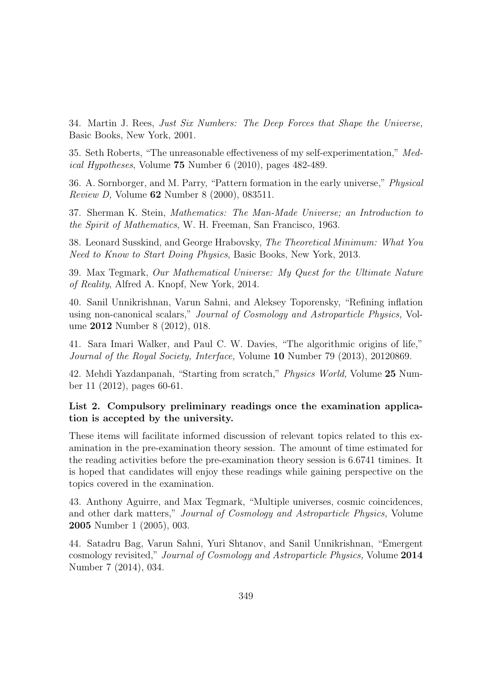34. Martin J. Rees, Just Six Numbers: The Deep Forces that Shape the Universe, Basic Books, New York, 2001.

35. Seth Roberts, "The unreasonable effectiveness of my self-experimentation," Medical Hypotheses, Volume 75 Number 6 (2010), pages 482-489.

36. A. Sornborger, and M. Parry, "Pattern formation in the early universe," Physical Review D, Volume 62 Number 8 (2000), 083511.

37. Sherman K. Stein, Mathematics: The Man-Made Universe; an Introduction to the Spirit of Mathematics, W. H. Freeman, San Francisco, 1963.

38. Leonard Susskind, and George Hrabovsky, The Theoretical Minimum: What You Need to Know to Start Doing Physics, Basic Books, New York, 2013.

39. Max Tegmark, Our Mathematical Universe: My Quest for the Ultimate Nature of Reality, Alfred A. Knopf, New York, 2014.

40. Sanil Unnikrishnan, Varun Sahni, and Aleksey Toporensky, "Refining inflation using non-canonical scalars," Journal of Cosmology and Astroparticle Physics, Volume 2012 Number 8 (2012), 018.

41. Sara Imari Walker, and Paul C. W. Davies, "The algorithmic origins of life," Journal of the Royal Society, Interface, Volume 10 Number 79 (2013), 20120869.

42. Mehdi Yazdanpanah, "Starting from scratch," Physics World, Volume 25 Number 11 (2012), pages 60-61.

#### List 2. Compulsory preliminary readings once the examination application is accepted by the university.

These items will facilitate informed discussion of relevant topics related to this examination in the pre-examination theory session. The amount of time estimated for the reading activities before the pre-examination theory session is 6.6741 timines. It is hoped that candidates will enjoy these readings while gaining perspective on the topics covered in the examination.

43. Anthony Aguirre, and Max Tegmark, "Multiple universes, cosmic coincidences, and other dark matters," Journal of Cosmology and Astroparticle Physics, Volume 2005 Number 1 (2005), 003.

44. Satadru Bag, Varun Sahni, Yuri Shtanov, and Sanil Unnikrishnan, "Emergent cosmology revisited," Journal of Cosmology and Astroparticle Physics, Volume 2014 Number 7 (2014), 034.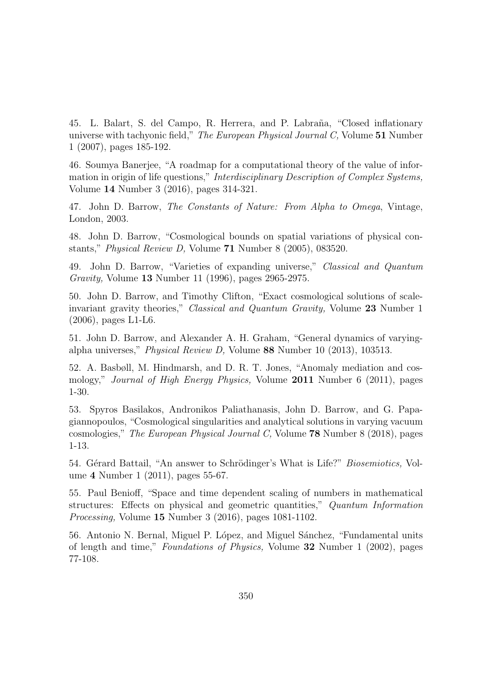45. L. Balart, S. del Campo, R. Herrera, and P. Labraña, "Closed inflationary universe with tachyonic field," The European Physical Journal C, Volume 51 Number 1 (2007), pages 185-192.

46. Soumya Banerjee, "A roadmap for a computational theory of the value of information in origin of life questions," Interdisciplinary Description of Complex Systems, Volume 14 Number 3 (2016), pages 314-321.

47. John D. Barrow, The Constants of Nature: From Alpha to Omega, Vintage, London, 2003.

48. John D. Barrow, "Cosmological bounds on spatial variations of physical constants," Physical Review D, Volume 71 Number 8 (2005), 083520.

49. John D. Barrow, "Varieties of expanding universe," Classical and Quantum Gravity, Volume 13 Number 11 (1996), pages 2965-2975.

50. John D. Barrow, and Timothy Clifton, "Exact cosmological solutions of scaleinvariant gravity theories," Classical and Quantum Gravity, Volume 23 Number 1 (2006), pages L1-L6.

51. John D. Barrow, and Alexander A. H. Graham, "General dynamics of varyingalpha universes," Physical Review D, Volume 88 Number 10 (2013), 103513.

52. A. Basbøll, M. Hindmarsh, and D. R. T. Jones, "Anomaly mediation and cosmology," *Journal of High Energy Physics*, Volume 2011 Number 6 (2011), pages 1-30.

53. Spyros Basilakos, Andronikos Paliathanasis, John D. Barrow, and G. Papagiannopoulos, "Cosmological singularities and analytical solutions in varying vacuum cosmologies," The European Physical Journal C, Volume 78 Number 8 (2018), pages 1-13.

54. Gérard Battail, "An answer to Schrödinger's What is Life?" *Biosemiotics*, Volume 4 Number 1 (2011), pages 55-67.

55. Paul Benioff, "Space and time dependent scaling of numbers in mathematical structures: Effects on physical and geometric quantities," Quantum Information Processing, Volume 15 Number 3 (2016), pages 1081-1102.

56. Antonio N. Bernal, Miguel P. López, and Miguel Sánchez, "Fundamental units of length and time," Foundations of Physics, Volume 32 Number 1 (2002), pages 77-108.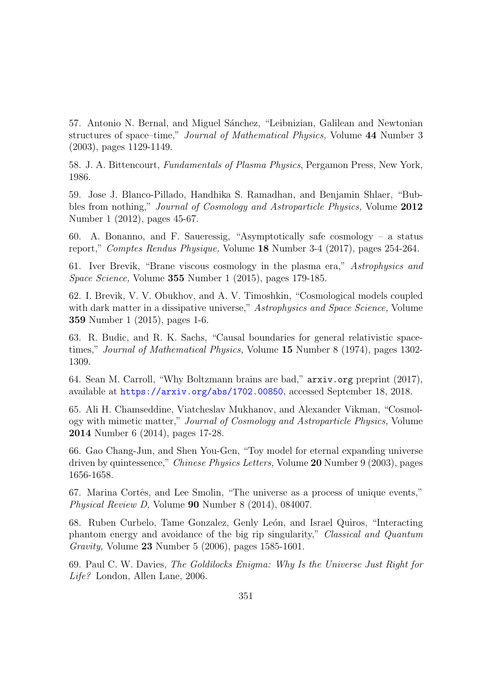57. Antonio N. Bernal, and Miguel Sánchez, "Leibnizian, Galilean and Newtonian structures of space–time," Journal of Mathematical Physics, Volume 44 Number 3 (2003), pages 1129-1149.

58. J. A. Bittencourt, Fundamentals of Plasma Physics, Pergamon Press, New York, 1986.

59. Jose J. Blanco-Pillado, Handhika S. Ramadhan, and Benjamin Shlaer, "Bubbles from nothing," *Journal of Cosmology and Astroparticle Physics*, Volume 2012 Number 1 (2012), pages 45-67.

60. A. Bonanno, and F. Saueressig, "Asymptotically safe cosmology – a status report," Comptes Rendus Physique, Volume 18 Number 3-4 (2017), pages 254-264.

61. Iver Brevik, "Brane viscous cosmology in the plasma era," Astrophysics and Space Science, Volume 355 Number 1 (2015), pages 179-185.

62. I. Brevik, V. V. Obukhov, and A. V. Timoshkin, "Cosmological models coupled with dark matter in a dissipative universe," Astrophysics and Space Science, Volume 359 Number 1 (2015), pages 1-6.

63. R. Budic, and R. K. Sachs, "Causal boundaries for general relativistic spacetimes," Journal of Mathematical Physics, Volume 15 Number 8 (1974), pages 1302- 1309.

64. Sean M. Carroll, "Why Boltzmann brains are bad," arxiv.org preprint (2017), available at <https://arxiv.org/abs/1702.00850>, accessed September 18, 2018.

65. Ali H. Chamseddine, Viatcheslav Mukhanov, and Alexander Vikman, "Cosmology with mimetic matter," Journal of Cosmology and Astroparticle Physics, Volume 2014 Number 6 (2014), pages 17-28.

66. Gao Chang-Jun, and Shen You-Gen, "Toy model for eternal expanding universe driven by quintessence," Chinese Physics Letters, Volume 20 Number 9 (2003), pages 1656-1658.

67. Marina Cortês, and Lee Smolin, "The universe as a process of unique events," Physical Review D, Volume 90 Number 8 (2014), 084007.

68. Ruben Curbelo, Tame Gonzalez, Genly León, and Israel Quiros, "Interacting phantom energy and avoidance of the big rip singularity," Classical and Quantum Gravity, Volume 23 Number 5 (2006), pages 1585-1601.

69. Paul C. W. Davies, The Goldilocks Enigma: Why Is the Universe Just Right for Life? London, Allen Lane, 2006.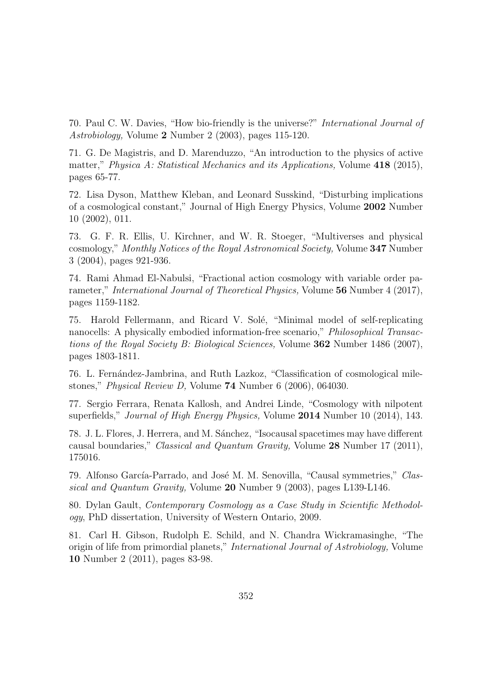70. Paul C. W. Davies, "How bio-friendly is the universe?" International Journal of Astrobiology, Volume 2 Number 2 (2003), pages 115-120.

71. G. De Magistris, and D. Marenduzzo, "An introduction to the physics of active matter," Physica A: Statistical Mechanics and its Applications, Volume  $418$  (2015), pages 65-77.

72. Lisa Dyson, Matthew Kleban, and Leonard Susskind, "Disturbing implications of a cosmological constant," Journal of High Energy Physics, Volume 2002 Number 10 (2002), 011.

73. G. F. R. Ellis, U. Kirchner, and W. R. Stoeger, "Multiverses and physical cosmology," Monthly Notices of the Royal Astronomical Society, Volume 347 Number 3 (2004), pages 921-936.

74. Rami Ahmad El-Nabulsi, "Fractional action cosmology with variable order parameter," International Journal of Theoretical Physics, Volume 56 Number 4 (2017), pages 1159-1182.

75. Harold Fellermann, and Ricard V. Solé, "Minimal model of self-replicating nanocells: A physically embodied information-free scenario," *Philosophical Transac*tions of the Royal Society B: Biological Sciences, Volume 362 Number 1486 (2007), pages 1803-1811.

76. L. Fernández-Jambrina, and Ruth Lazkoz, "Classification of cosmological milestones," Physical Review D, Volume 74 Number 6 (2006), 064030.

77. Sergio Ferrara, Renata Kallosh, and Andrei Linde, "Cosmology with nilpotent superfields," *Journal of High Energy Physics*, Volume 2014 Number 10 (2014), 143.

78. J. L. Flores, J. Herrera, and M. Sánchez, "Isocausal spacetimes may have different causal boundaries," Classical and Quantum Gravity, Volume 28 Number 17 (2011), 175016.

79. Alfonso García-Parrado, and José M. M. Senovilla, "Causal symmetries," Classical and Quantum Gravity, Volume 20 Number 9 (2003), pages L139-L146.

80. Dylan Gault, Contemporary Cosmology as a Case Study in Scientific Methodology, PhD dissertation, University of Western Ontario, 2009.

81. Carl H. Gibson, Rudolph E. Schild, and N. Chandra Wickramasinghe, "The origin of life from primordial planets," International Journal of Astrobiology, Volume 10 Number 2 (2011), pages 83-98.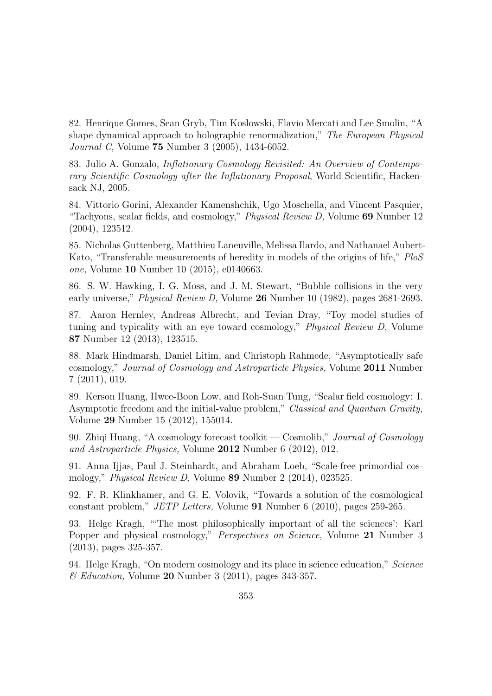82. Henrique Gomes, Sean Gryb, Tim Koslowski, Flavio Mercati and Lee Smolin, "A shape dynamical approach to holographic renormalization," The European Physical Journal C, Volume 75 Number 3 (2005), 1434-6052.

83. Julio A. Gonzalo, Inflationary Cosmology Revisited: An Overview of Contemporary Scientific Cosmology after the Inflationary Proposal, World Scientific, Hackensack NJ, 2005.

84. Vittorio Gorini, Alexander Kamenshchik, Ugo Moschella, and Vincent Pasquier, "Tachyons, scalar fields, and cosmology," Physical Review D, Volume 69 Number 12 (2004), 123512.

85. Nicholas Guttenberg, Matthieu Laneuville, Melissa Ilardo, and Nathanael Aubert-Kato, "Transferable measurements of heredity in models of the origins of life," PloS one, Volume 10 Number 10 (2015), e0140663.

86. S. W. Hawking, I. G. Moss, and J. M. Stewart, "Bubble collisions in the very early universe," *Physical Review D*, Volume 26 Number 10 (1982), pages 2681-2693.

87. Aaron Hernley, Andreas Albrecht, and Tevian Dray, "Toy model studies of tuning and typicality with an eye toward cosmology," Physical Review D, Volume 87 Number 12 (2013), 123515.

88. Mark Hindmarsh, Daniel Litim, and Christoph Rahmede, "Asymptotically safe cosmology," Journal of Cosmology and Astroparticle Physics, Volume 2011 Number 7 (2011), 019.

89. Kerson Huang, Hwee-Boon Low, and Roh-Suan Tung, "Scalar field cosmology: I. Asymptotic freedom and the initial-value problem," Classical and Quantum Gravity, Volume 29 Number 15 (2012), 155014.

90. Zhiqi Huang, "A cosmology forecast toolkit — Cosmolib," Journal of Cosmology and Astroparticle Physics, Volume 2012 Number 6 (2012), 012.

91. Anna Ijjas, Paul J. Steinhardt, and Abraham Loeb, "Scale-free primordial cosmology," Physical Review D, Volume 89 Number 2 (2014), 023525.

92. F. R. Klinkhamer, and G. E. Volovik, "Towards a solution of the cosmological constant problem," JETP Letters, Volume 91 Number 6 (2010), pages 259-265.

93. Helge Kragh, "'The most philosophically important of all the sciences': Karl Popper and physical cosmology," *Perspectives on Science*, Volume 21 Number 3 (2013), pages 325-357.

94. Helge Kragh, "On modern cosmology and its place in science education," Science  $\mathscr$ *Education*, Volume 20 Number 3 (2011), pages 343-357.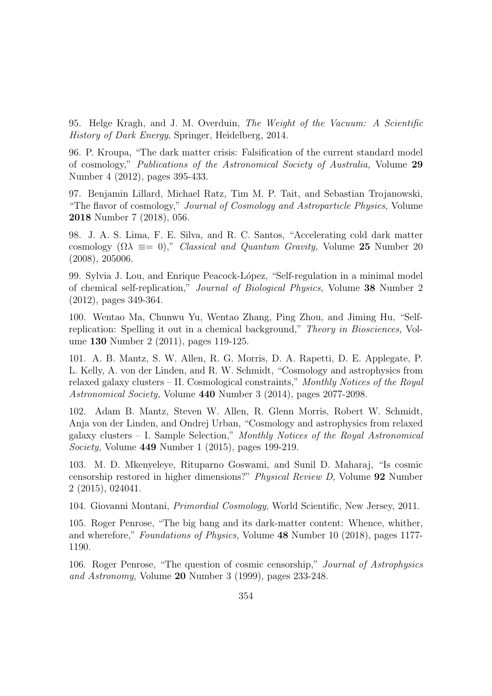95. Helge Kragh, and J. M. Overduin, The Weight of the Vacuum: A Scientific History of Dark Energy, Springer, Heidelberg, 2014.

96. P. Kroupa, "The dark matter crisis: Falsification of the current standard model of cosmology," Publications of the Astronomical Society of Australia, Volume 29 Number 4 (2012), pages 395-433.

97. Benjamin Lillard, Michael Ratz, Tim M. P. Tait, and Sebastian Trojanowski, "The flavor of cosmology," Journal of Cosmology and Astroparticle Physics, Volume 2018 Number 7 (2018), 056.

98. J. A. S. Lima, F. E. Silva, and R. C. Santos, "Accelerating cold dark matter cosmology  $(\Omega \lambda \equiv 0)$ ," *Classical and Quantum Gravity*, Volume 25 Number 20 (2008), 205006.

99. Sylvia J. Lou, and Enrique Peacock-L´opez, "Self-regulation in a minimal model of chemical self-replication," Journal of Biological Physics, Volume 38 Number 2 (2012), pages 349-364.

100. Wentao Ma, Chunwu Yu, Wentao Zhang, Ping Zhou, and Jiming Hu, "Selfreplication: Spelling it out in a chemical background," Theory in Biosciences, Volume 130 Number 2 (2011), pages 119-125.

101. A. B. Mantz, S. W. Allen, R. G. Morris, D. A. Rapetti, D. E. Applegate, P. L. Kelly, A. von der Linden, and R. W. Schmidt, "Cosmology and astrophysics from relaxed galaxy clusters – II. Cosmological constraints," Monthly Notices of the Royal Astronomical Society, Volume 440 Number 3 (2014), pages 2077-2098.

102. Adam B. Mantz, Steven W. Allen, R. Glenn Morris, Robert W. Schmidt, Anja von der Linden, and Ondrej Urban, "Cosmology and astrophysics from relaxed galaxy clusters – I. Sample Selection," Monthly Notices of the Royal Astronomical Society, Volume 449 Number 1 (2015), pages 199-219.

103. M. D. Mkenyeleye, Rituparno Goswami, and Sunil D. Maharaj, "Is cosmic censorship restored in higher dimensions?" Physical Review D, Volume 92 Number 2 (2015), 024041.

104. Giovanni Montani, Primordial Cosmology, World Scientific, New Jersey, 2011.

105. Roger Penrose, "The big bang and its dark-matter content: Whence, whither, and wherefore," Foundations of Physics, Volume 48 Number 10 (2018), pages 1177- 1190.

106. Roger Penrose, "The question of cosmic censorship," Journal of Astrophysics and Astronomy, Volume 20 Number 3 (1999), pages 233-248.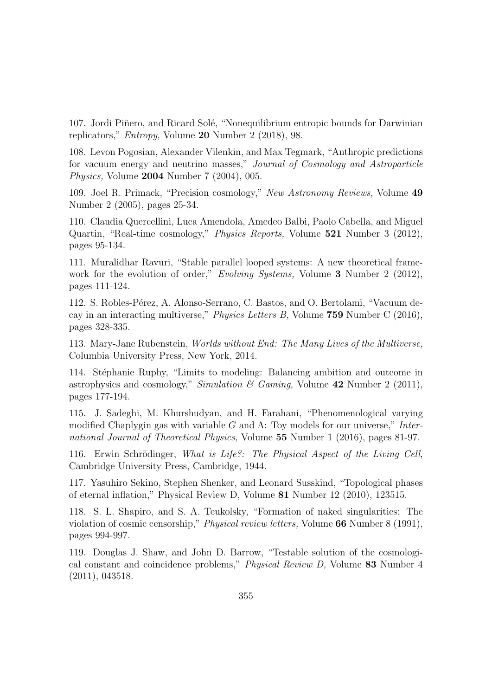107. Jordi Piñero, and Ricard Solé, "Nonequilibrium entropic bounds for Darwinian replicators," Entropy, Volume 20 Number 2 (2018), 98.

108. Levon Pogosian, Alexander Vilenkin, and Max Tegmark, "Anthropic predictions for vacuum energy and neutrino masses," Journal of Cosmology and Astroparticle Physics, Volume 2004 Number 7 (2004), 005.

109. Joel R. Primack, "Precision cosmology," New Astronomy Reviews, Volume 49 Number 2 (2005), pages 25-34.

110. Claudia Quercellini, Luca Amendola, Amedeo Balbi, Paolo Cabella, and Miguel Quartin, "Real-time cosmology," Physics Reports, Volume 521 Number 3 (2012), pages 95-134.

111. Muralidhar Ravuri, "Stable parallel looped systems: A new theoretical framework for the evolution of order," *Evolving Systems*, Volume 3 Number 2 (2012), pages 111-124.

112. S. Robles-P´erez, A. Alonso-Serrano, C. Bastos, and O. Bertolami, "Vacuum decay in an interacting multiverse," Physics Letters B, Volume 759 Number C (2016), pages 328-335.

113. Mary-Jane Rubenstein, Worlds without End: The Many Lives of the Multiverse, Columbia University Press, New York, 2014.

114. St´ephanie Ruphy, "Limits to modeling: Balancing ambition and outcome in astrophysics and cosmology," Simulation & Gaming, Volume  $42$  Number 2 (2011), pages 177-194.

115. J. Sadeghi, M. Khurshudyan, and H. Farahani, "Phenomenological varying modified Chaplygin gas with variable G and  $\Lambda$ : Toy models for our universe," International Journal of Theoretical Physics, Volume 55 Number 1 (2016), pages 81-97.

116. Erwin Schrödinger, What is Life?: The Physical Aspect of the Living Cell, Cambridge University Press, Cambridge, 1944.

117. Yasuhiro Sekino, Stephen Shenker, and Leonard Susskind, "Topological phases of eternal inflation," Physical Review D, Volume 81 Number 12 (2010), 123515.

118. S. L. Shapiro, and S. A. Teukolsky, "Formation of naked singularities: The violation of cosmic censorship," Physical review letters, Volume 66 Number 8 (1991), pages 994-997.

119. Douglas J. Shaw, and John D. Barrow, "Testable solution of the cosmological constant and coincidence problems," Physical Review D, Volume 83 Number 4 (2011), 043518.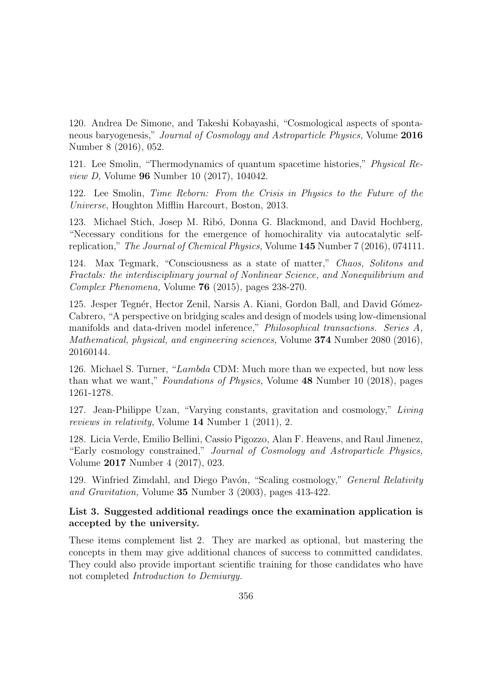120. Andrea De Simone, and Takeshi Kobayashi, "Cosmological aspects of spontaneous baryogenesis," Journal of Cosmology and Astroparticle Physics, Volume 2016 Number 8 (2016), 052.

121. Lee Smolin, "Thermodynamics of quantum spacetime histories," Physical Review D, Volume 96 Number 10 (2017), 104042.

122. Lee Smolin, Time Reborn: From the Crisis in Physics to the Future of the Universe, Houghton Mifflin Harcourt, Boston, 2013.

123. Michael Stich, Josep M. Rib´o, Donna G. Blackmond, and David Hochberg, "Necessary conditions for the emergence of homochirality via autocatalytic selfreplication," The Journal of Chemical Physics, Volume 145 Number 7 (2016), 074111.

124. Max Tegmark, "Consciousness as a state of matter," Chaos, Solitons and Fractals: the interdisciplinary journal of Nonlinear Science, and Nonequilibrium and Complex Phenomena, Volume 76 (2015), pages 238-270.

125. Jesper Tegnér, Hector Zenil, Narsis A. Kiani, Gordon Ball, and David Gómez-Cabrero, "A perspective on bridging scales and design of models using low-dimensional manifolds and data-driven model inference," Philosophical transactions. Series A, Mathematical, physical, and engineering sciences, Volume 374 Number 2080 (2016), 20160144.

126. Michael S. Turner, "Lambda CDM: Much more than we expected, but now less than what we want," Foundations of Physics, Volume 48 Number 10 (2018), pages 1261-1278.

127. Jean-Philippe Uzan, "Varying constants, gravitation and cosmology," Living reviews in relativity, Volume 14 Number 1 (2011), 2.

128. Licia Verde, Emilio Bellini, Cassio Pigozzo, Alan F. Heavens, and Raul Jimenez, "Early cosmology constrained," Journal of Cosmology and Astroparticle Physics, Volume 2017 Number 4 (2017), 023.

129. Winfried Zimdahl, and Diego Pavón, "Scaling cosmology," *General Relativity* and Gravitation, Volume 35 Number 3 (2003), pages 413-422.

### List 3. Suggested additional readings once the examination application is accepted by the university.

These items complement list 2. They are marked as optional, but mastering the concepts in them may give additional chances of success to committed candidates. They could also provide important scientific training for those candidates who have not completed Introduction to Demiurgy.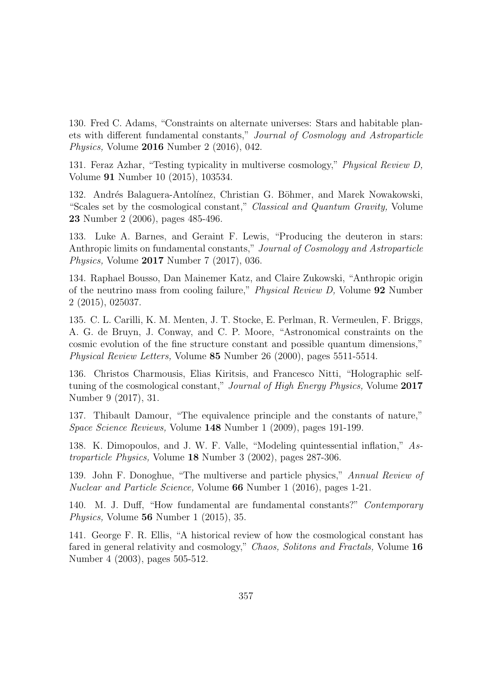130. Fred C. Adams, "Constraints on alternate universes: Stars and habitable planets with different fundamental constants," Journal of Cosmology and Astroparticle Physics, Volume 2016 Number 2 (2016), 042.

131. Feraz Azhar, "Testing typicality in multiverse cosmology," Physical Review D, Volume 91 Number 10 (2015), 103534.

132. Andrés Balaguera-Antolínez, Christian G. Böhmer, and Marek Nowakowski, "Scales set by the cosmological constant," Classical and Quantum Gravity, Volume 23 Number 2 (2006), pages 485-496.

133. Luke A. Barnes, and Geraint F. Lewis, "Producing the deuteron in stars: Anthropic limits on fundamental constants," Journal of Cosmology and Astroparticle Physics, Volume 2017 Number 7 (2017), 036.

134. Raphael Bousso, Dan Mainemer Katz, and Claire Zukowski, "Anthropic origin of the neutrino mass from cooling failure," Physical Review D, Volume 92 Number 2 (2015), 025037.

135. C. L. Carilli, K. M. Menten, J. T. Stocke, E. Perlman, R. Vermeulen, F. Briggs, A. G. de Bruyn, J. Conway, and C. P. Moore, "Astronomical constraints on the cosmic evolution of the fine structure constant and possible quantum dimensions," Physical Review Letters, Volume 85 Number 26 (2000), pages 5511-5514.

136. Christos Charmousis, Elias Kiritsis, and Francesco Nitti, "Holographic selftuning of the cosmological constant," *Journal of High Energy Physics*, Volume 2017 Number 9 (2017), 31.

137. Thibault Damour, "The equivalence principle and the constants of nature," Space Science Reviews, Volume 148 Number 1 (2009), pages 191-199.

138. K. Dimopoulos, and J. W. F. Valle, "Modeling quintessential inflation," Astroparticle Physics, Volume 18 Number 3 (2002), pages 287-306.

139. John F. Donoghue, "The multiverse and particle physics," Annual Review of Nuclear and Particle Science, Volume 66 Number 1 (2016), pages 1-21.

140. M. J. Duff, "How fundamental are fundamental constants?" Contemporary Physics, Volume 56 Number 1 (2015), 35.

141. George F. R. Ellis, "A historical review of how the cosmological constant has fared in general relativity and cosmology," Chaos, Solitons and Fractals, Volume 16 Number 4 (2003), pages 505-512.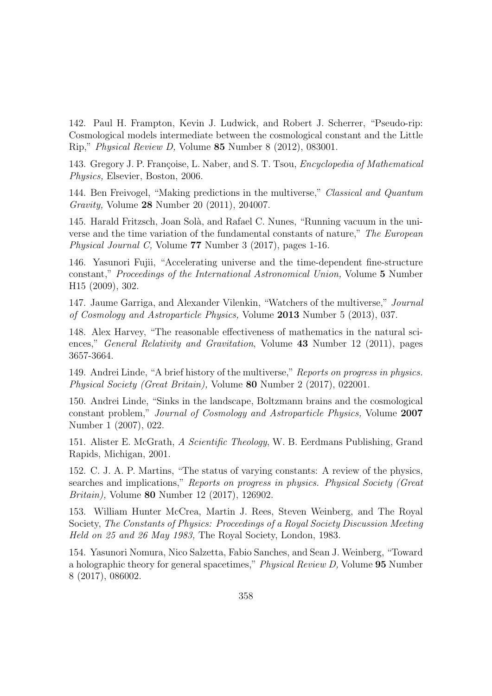142. Paul H. Frampton, Kevin J. Ludwick, and Robert J. Scherrer, "Pseudo-rip: Cosmological models intermediate between the cosmological constant and the Little Rip," Physical Review D, Volume 85 Number 8 (2012), 083001.

143. Gregory J. P. Françoise, L. Naber, and S. T. Tsou, *Encyclopedia of Mathematical* Physics, Elsevier, Boston, 2006.

144. Ben Freivogel, "Making predictions in the multiverse," Classical and Quantum Gravity, Volume 28 Number 20 (2011), 204007.

145. Harald Fritzsch, Joan Sol`a, and Rafael C. Nunes, "Running vacuum in the universe and the time variation of the fundamental constants of nature," The European Physical Journal C, Volume 77 Number 3 (2017), pages 1-16.

146. Yasunori Fujii, "Accelerating universe and the time-dependent fine-structure constant," Proceedings of the International Astronomical Union, Volume 5 Number H15 (2009), 302.

147. Jaume Garriga, and Alexander Vilenkin, "Watchers of the multiverse," Journal of Cosmology and Astroparticle Physics, Volume 2013 Number 5 (2013), 037.

148. Alex Harvey, "The reasonable effectiveness of mathematics in the natural sciences," *General Relativity and Gravitation*, Volume 43 Number 12 (2011), pages 3657-3664.

149. Andrei Linde, "A brief history of the multiverse," Reports on progress in physics. Physical Society (Great Britain), Volume 80 Number 2 (2017), 022001.

150. Andrei Linde, "Sinks in the landscape, Boltzmann brains and the cosmological constant problem," Journal of Cosmology and Astroparticle Physics, Volume 2007 Number 1 (2007), 022.

151. Alister E. McGrath, A Scientific Theology, W. B. Eerdmans Publishing, Grand Rapids, Michigan, 2001.

152. C. J. A. P. Martins, "The status of varying constants: A review of the physics, searches and implications," Reports on progress in physics. Physical Society (Great Britain), Volume 80 Number 12 (2017), 126902.

153. William Hunter McCrea, Martin J. Rees, Steven Weinberg, and The Royal Society, The Constants of Physics: Proceedings of a Royal Society Discussion Meeting Held on 25 and 26 May 1983, The Royal Society, London, 1983.

154. Yasunori Nomura, Nico Salzetta, Fabio Sanches, and Sean J. Weinberg, "Toward a holographic theory for general spacetimes," Physical Review D, Volume 95 Number 8 (2017), 086002.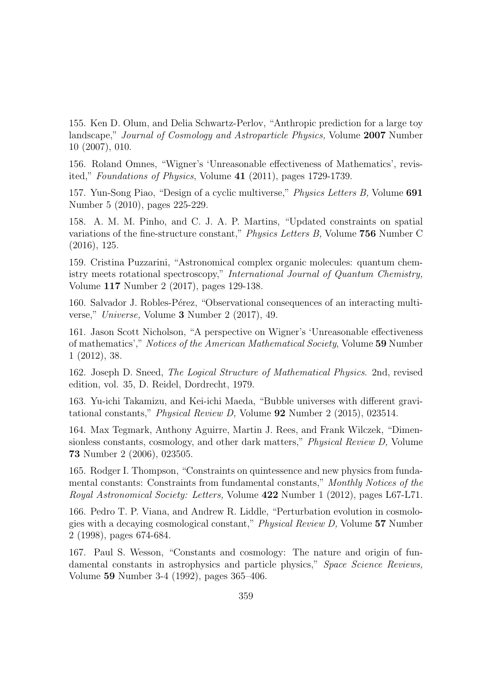155. Ken D. Olum, and Delia Schwartz-Perlov, "Anthropic prediction for a large toy landscape," Journal of Cosmology and Astroparticle Physics, Volume 2007 Number 10 (2007), 010.

156. Roland Omnes, "Wigner's 'Unreasonable effectiveness of Mathematics', revisited," Foundations of Physics, Volume 41 (2011), pages 1729-1739.

157. Yun-Song Piao, "Design of a cyclic multiverse," Physics Letters B, Volume 691 Number 5 (2010), pages 225-229.

158. A. M. M. Pinho, and C. J. A. P. Martins, "Updated constraints on spatial variations of the fine-structure constant," Physics Letters B, Volume 756 Number C (2016), 125.

159. Cristina Puzzarini, "Astronomical complex organic molecules: quantum chemistry meets rotational spectroscopy," International Journal of Quantum Chemistry, Volume 117 Number 2 (2017), pages 129-138.

160. Salvador J. Robles-Pérez, "Observational consequences of an interacting multiverse," Universe, Volume 3 Number 2 (2017), 49.

161. Jason Scott Nicholson, "A perspective on Wigner's 'Unreasonable effectiveness of mathematics'," Notices of the American Mathematical Society, Volume 59 Number 1 (2012), 38.

162. Joseph D. Sneed, The Logical Structure of Mathematical Physics. 2nd, revised edition, vol. 35, D. Reidel, Dordrecht, 1979.

163. Yu-ichi Takamizu, and Kei-ichi Maeda, "Bubble universes with different gravitational constants," Physical Review D, Volume 92 Number 2 (2015), 023514.

164. Max Tegmark, Anthony Aguirre, Martin J. Rees, and Frank Wilczek, "Dimensionless constants, cosmology, and other dark matters," *Physical Review D*, Volume 73 Number 2 (2006), 023505.

165. Rodger I. Thompson, "Constraints on quintessence and new physics from fundamental constants: Constraints from fundamental constants," Monthly Notices of the Royal Astronomical Society: Letters, Volume 422 Number 1 (2012), pages L67-L71.

166. Pedro T. P. Viana, and Andrew R. Liddle, "Perturbation evolution in cosmologies with a decaying cosmological constant," Physical Review D, Volume 57 Number 2 (1998), pages 674-684.

167. Paul S. Wesson, "Constants and cosmology: The nature and origin of fundamental constants in astrophysics and particle physics," Space Science Reviews, Volume 59 Number 3-4 (1992), pages 365–406.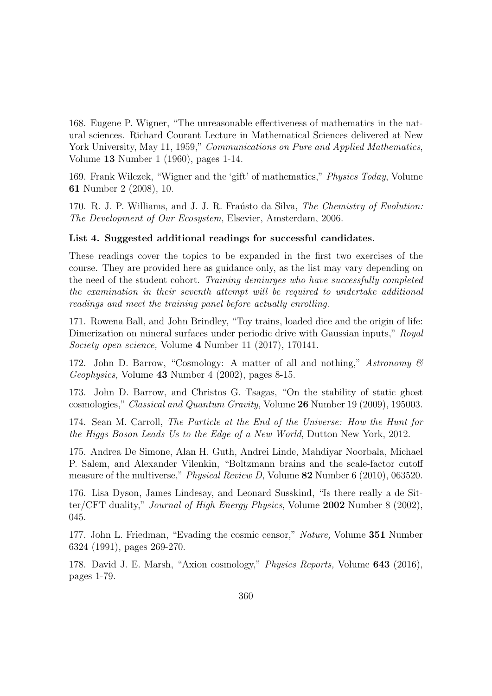168. Eugene P. Wigner, "The unreasonable effectiveness of mathematics in the natural sciences. Richard Courant Lecture in Mathematical Sciences delivered at New York University, May 11, 1959," *Communications on Pure and Applied Mathematics*, Volume 13 Number 1 (1960), pages 1-14.

169. Frank Wilczek, "Wigner and the 'gift' of mathematics," Physics Today, Volume 61 Number 2 (2008), 10.

170. R. J. P. Williams, and J. J. R. Fraústo da Silva, *The Chemistry of Evolution*: The Development of Our Ecosystem, Elsevier, Amsterdam, 2006.

#### List 4. Suggested additional readings for successful candidates.

These readings cover the topics to be expanded in the first two exercises of the course. They are provided here as guidance only, as the list may vary depending on the need of the student cohort. Training demiurges who have successfully completed the examination in their seventh attempt will be required to undertake additional readings and meet the training panel before actually enrolling.

171. Rowena Ball, and John Brindley, "Toy trains, loaded dice and the origin of life: Dimerization on mineral surfaces under periodic drive with Gaussian inputs," Royal Society open science, Volume 4 Number 11 (2017), 170141.

172. John D. Barrow, "Cosmology: A matter of all and nothing," Astronomy  $\mathcal C$ Geophysics, Volume 43 Number 4 (2002), pages 8-15.

173. John D. Barrow, and Christos G. Tsagas, "On the stability of static ghost cosmologies," Classical and Quantum Gravity, Volume 26 Number 19 (2009), 195003.

174. Sean M. Carroll, The Particle at the End of the Universe: How the Hunt for the Higgs Boson Leads Us to the Edge of a New World, Dutton New York, 2012.

175. Andrea De Simone, Alan H. Guth, Andrei Linde, Mahdiyar Noorbala, Michael P. Salem, and Alexander Vilenkin, "Boltzmann brains and the scale-factor cutoff measure of the multiverse," *Physical Review D*, Volume 82 Number 6 (2010), 063520.

176. Lisa Dyson, James Lindesay, and Leonard Susskind, "Is there really a de Sitter/CFT duality," Journal of High Energy Physics, Volume 2002 Number 8 (2002), 045.

177. John L. Friedman, "Evading the cosmic censor," Nature, Volume 351 Number 6324 (1991), pages 269-270.

178. David J. E. Marsh, "Axion cosmology," Physics Reports, Volume 643 (2016), pages 1-79.